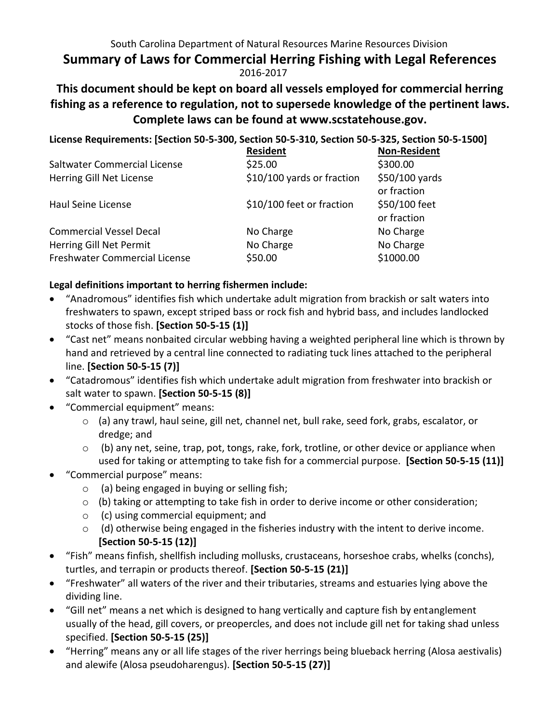### South Carolina Department of Natural Resources Marine Resources Division **Summary of Laws for Commercial Herring Fishing with Legal References**  2016-2017

# **This document should be kept on board all vessels employed for commercial herring fishing as a reference to regulation, not to supersede knowledge of the pertinent laws. Complete laws can be found at www.scstatehouse.gov.**

**License Requirements: [Section 50-5-300, Section 50-5-310, Section 50-5-325, Section 50-5-1500]** 

|                                | <b>Resident</b>            | <b>Non-Resident</b> |
|--------------------------------|----------------------------|---------------------|
| Saltwater Commercial License   | \$25.00                    | \$300.00            |
| Herring Gill Net License       | \$10/100 yards or fraction | $$50/100$ yards     |
|                                |                            | or fraction         |
| Haul Seine License             | \$10/100 feet or fraction  | \$50/100 feet       |
|                                |                            | or fraction         |
| <b>Commercial Vessel Decal</b> | No Charge                  | No Charge           |
| Herring Gill Net Permit        | No Charge                  | No Charge           |
| Freshwater Commercial License  | \$50.00                    | \$1000.00           |

### **Legal definitions important to herring fishermen include:**

- "Anadromous" identifies fish which undertake adult migration from brackish or salt waters into freshwaters to spawn, except striped bass or rock fish and hybrid bass, and includes landlocked stocks of those fish. **[Section 50-5-15 (1)]**
- "Cast net" means nonbaited circular webbing having a weighted peripheral line which is thrown by hand and retrieved by a central line connected to radiating tuck lines attached to the peripheral line. **[Section 50-5-15 (7)]**
- "Catadromous" identifies fish which undertake adult migration from freshwater into brackish or salt water to spawn. **[Section 50-5-15 (8)]**
- "Commercial equipment" means:
	- o (a) any trawl, haul seine, gill net, channel net, bull rake, seed fork, grabs, escalator, or dredge; and
	- $\circ$  (b) any net, seine, trap, pot, tongs, rake, fork, trotline, or other device or appliance when used for taking or attempting to take fish for a commercial purpose. **[Section 50-5-15 (11)]**
- "Commercial purpose" means:
	- $\circ$  (a) being engaged in buying or selling fish;
	- o (b) taking or attempting to take fish in order to derive income or other consideration;
	- o (c) using commercial equipment; and
	- o (d) otherwise being engaged in the fisheries industry with the intent to derive income. **[Section 50-5-15 (12)]**
- "Fish" means finfish, shellfish including mollusks, crustaceans, horseshoe crabs, whelks (conchs), turtles, and terrapin or products thereof. **[Section 50-5-15 (21)]**
- "Freshwater" all waters of the river and their tributaries, streams and estuaries lying above the dividing line.
- "Gill net" means a net which is designed to hang vertically and capture fish by entanglement usually of the head, gill covers, or preopercles, and does not include gill net for taking shad unless specified. **[Section 50-5-15 (25)]**
- "Herring" means any or all life stages of the river herrings being blueback herring (Alosa aestivalis) and alewife (Alosa pseudoharengus). **[Section 50-5-15 (27)]**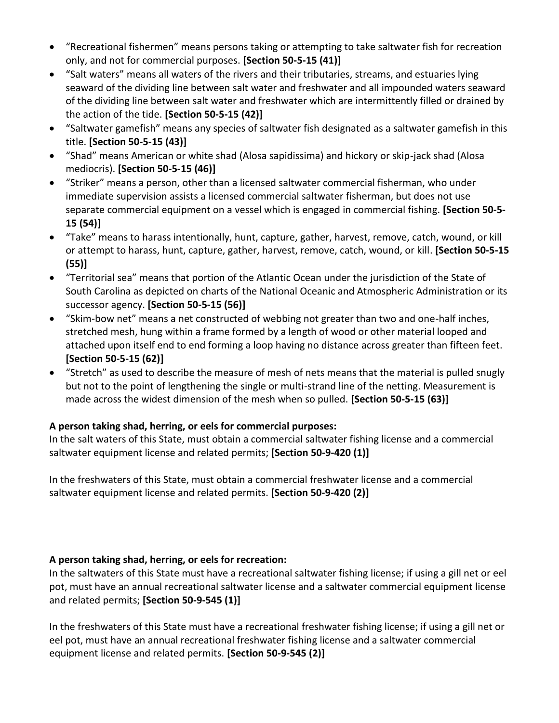- "Recreational fishermen" means persons taking or attempting to take saltwater fish for recreation only, and not for commercial purposes. **[Section 50-5-15 (41)]**
- "Salt waters" means all waters of the rivers and their tributaries, streams, and estuaries lying seaward of the dividing line between salt water and freshwater and all impounded waters seaward of the dividing line between salt water and freshwater which are intermittently filled or drained by the action of the tide. **[Section 50-5-15 (42)]**
- "Saltwater gamefish" means any species of saltwater fish designated as a saltwater gamefish in this title. **[Section 50-5-15 (43)]**
- "Shad" means American or white shad (Alosa sapidissima) and hickory or skip-jack shad (Alosa mediocris). **[Section 50-5-15 (46)]**
- "Striker" means a person, other than a licensed saltwater commercial fisherman, who under immediate supervision assists a licensed commercial saltwater fisherman, but does not use separate commercial equipment on a vessel which is engaged in commercial fishing. **[Section 50-5- 15 (54)]**
- "Take" means to harass intentionally, hunt, capture, gather, harvest, remove, catch, wound, or kill or attempt to harass, hunt, capture, gather, harvest, remove, catch, wound, or kill. **[Section 50-5-15 (55)]**
- "Territorial sea" means that portion of the Atlantic Ocean under the jurisdiction of the State of South Carolina as depicted on charts of the National Oceanic and Atmospheric Administration or its successor agency. **[Section 50-5-15 (56)]**
- "Skim-bow net" means a net constructed of webbing not greater than two and one-half inches, stretched mesh, hung within a frame formed by a length of wood or other material looped and attached upon itself end to end forming a loop having no distance across greater than fifteen feet. **[Section 50-5-15 (62)]**
- "Stretch" as used to describe the measure of mesh of nets means that the material is pulled snugly but not to the point of lengthening the single or multi-strand line of the netting. Measurement is made across the widest dimension of the mesh when so pulled. **[Section 50-5-15 (63)]**

### **A person taking shad, herring, or eels for commercial purposes:**

In the salt waters of this State, must obtain a commercial saltwater fishing license and a commercial saltwater equipment license and related permits; **[Section 50-9-420 (1)]**

In the freshwaters of this State, must obtain a commercial freshwater license and a commercial saltwater equipment license and related permits. **[Section 50-9-420 (2)]**

### **A person taking shad, herring, or eels for recreation:**

In the saltwaters of this State must have a recreational saltwater fishing license; if using a gill net or eel pot, must have an annual recreational saltwater license and a saltwater commercial equipment license and related permits; **[Section 50-9-545 (1)]**

In the freshwaters of this State must have a recreational freshwater fishing license; if using a gill net or eel pot, must have an annual recreational freshwater fishing license and a saltwater commercial equipment license and related permits. **[Section 50-9-545 (2)]**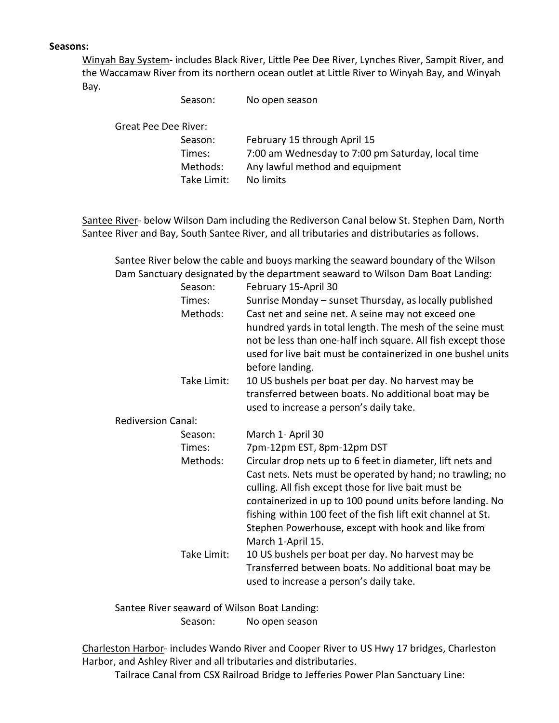#### **Seasons:**

Winyah Bay System- includes Black River, Little Pee Dee River, Lynches River, Sampit River, and the Waccamaw River from its northern ocean outlet at Little River to Winyah Bay, and Winyah Bay.

|                      | Season:     | No open season                                    |
|----------------------|-------------|---------------------------------------------------|
| Great Pee Dee River: |             |                                                   |
|                      | Season:     | February 15 through April 15                      |
|                      | Times:      | 7:00 am Wednesday to 7:00 pm Saturday, local time |
|                      | Methods:    | Any lawful method and equipment                   |
|                      | Take Limit: | No limits                                         |
|                      |             |                                                   |

Santee River- below Wilson Dam including the Rediverson Canal below St. Stephen Dam, North Santee River and Bay, South Santee River, and all tributaries and distributaries as follows.

Santee River below the cable and buoys marking the seaward boundary of the Wilson Dam Sanctuary designated by the department seaward to Wilson Dam Boat Landing:

|                           | Season:     | February 15-April 30                                                                                                                                                                                                                                                                                                                                                                    |
|---------------------------|-------------|-----------------------------------------------------------------------------------------------------------------------------------------------------------------------------------------------------------------------------------------------------------------------------------------------------------------------------------------------------------------------------------------|
|                           | Times:      | Sunrise Monday - sunset Thursday, as locally published                                                                                                                                                                                                                                                                                                                                  |
|                           | Methods:    | Cast net and seine net. A seine may not exceed one                                                                                                                                                                                                                                                                                                                                      |
|                           |             | hundred yards in total length. The mesh of the seine must<br>not be less than one-half inch square. All fish except those<br>used for live bait must be containerized in one bushel units<br>before landing.                                                                                                                                                                            |
|                           | Take Limit: | 10 US bushels per boat per day. No harvest may be<br>transferred between boats. No additional boat may be<br>used to increase a person's daily take.                                                                                                                                                                                                                                    |
| <b>Rediversion Canal:</b> |             |                                                                                                                                                                                                                                                                                                                                                                                         |
|                           | Season:     | March 1- April 30                                                                                                                                                                                                                                                                                                                                                                       |
|                           | Times:      | 7pm-12pm EST, 8pm-12pm DST                                                                                                                                                                                                                                                                                                                                                              |
|                           | Methods:    | Circular drop nets up to 6 feet in diameter, lift nets and<br>Cast nets. Nets must be operated by hand; no trawling; no<br>culling. All fish except those for live bait must be<br>containerized in up to 100 pound units before landing. No<br>fishing within 100 feet of the fish lift exit channel at St.<br>Stephen Powerhouse, except with hook and like from<br>March 1-April 15. |
|                           | Take Limit: | 10 US bushels per boat per day. No harvest may be<br>Transferred between boats. No additional boat may be<br>used to increase a person's daily take.                                                                                                                                                                                                                                    |

Santee River seaward of Wilson Boat Landing: Season: No open season

Charleston Harbor- includes Wando River and Cooper River to US Hwy 17 bridges, Charleston Harbor, and Ashley River and all tributaries and distributaries.

Tailrace Canal from CSX Railroad Bridge to Jefferies Power Plan Sanctuary Line: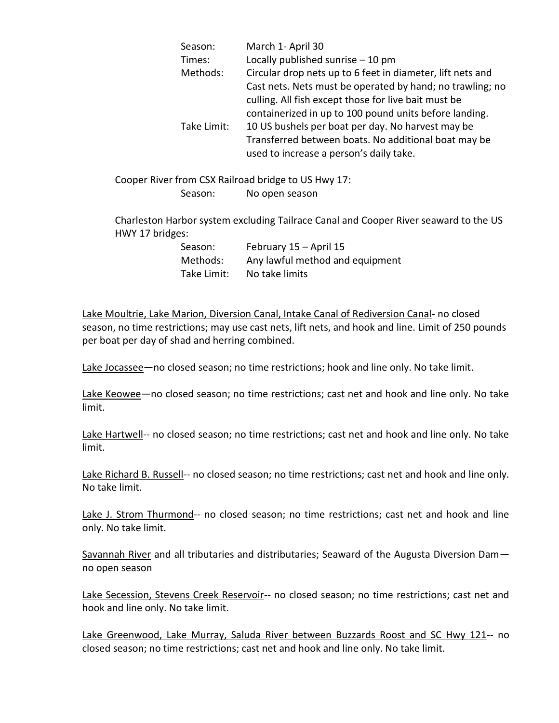| Season:     | March 1- April 30                                          |  |
|-------------|------------------------------------------------------------|--|
| Times:      | Locally published sunrise $-10$ pm                         |  |
| Methods:    | Circular drop nets up to 6 feet in diameter, lift nets and |  |
|             | Cast nets. Nets must be operated by hand; no trawling; no  |  |
|             | culling. All fish except those for live bait must be       |  |
|             | containerized in up to 100 pound units before landing.     |  |
| Take Limit: | 10 US bushels per boat per day. No harvest may be          |  |
|             | Transferred between boats. No additional boat may be       |  |
|             | used to increase a person's daily take.                    |  |

Cooper River from CSX Railroad bridge to US Hwy 17: Season: No open season

Charleston Harbor system excluding Tailrace Canal and Cooper River seaward to the US HWY 17 bridges:

| Season:     | February 15 - April 15          |
|-------------|---------------------------------|
| Methods:    | Any lawful method and equipment |
| Take Limit: | No take limits                  |

Lake Moultrie, Lake Marion, Diversion Canal, Intake Canal of Rediversion Canal- no closed season, no time restrictions; may use cast nets, lift nets, and hook and line. Limit of 250 pounds per boat per day of shad and herring combined.

Lake Jocassee—no closed season; no time restrictions; hook and line only. No take limit.

Lake Keowee—no closed season; no time restrictions; cast net and hook and line only. No take limit.

Lake Hartwell-- no closed season; no time restrictions; cast net and hook and line only. No take limit.

Lake Richard B. Russell-- no closed season; no time restrictions; cast net and hook and line only. No take limit.

Lake J. Strom Thurmond-- no closed season; no time restrictions; cast net and hook and line only. No take limit.

Savannah River and all tributaries and distributaries; Seaward of the Augusta Diversion Damno open season

Lake Secession, Stevens Creek Reservoir-- no closed season; no time restrictions; cast net and hook and line only. No take limit.

Lake Greenwood, Lake Murray, Saluda River between Buzzards Roost and SC Hwy 121-- no closed season; no time restrictions; cast net and hook and line only. No take limit.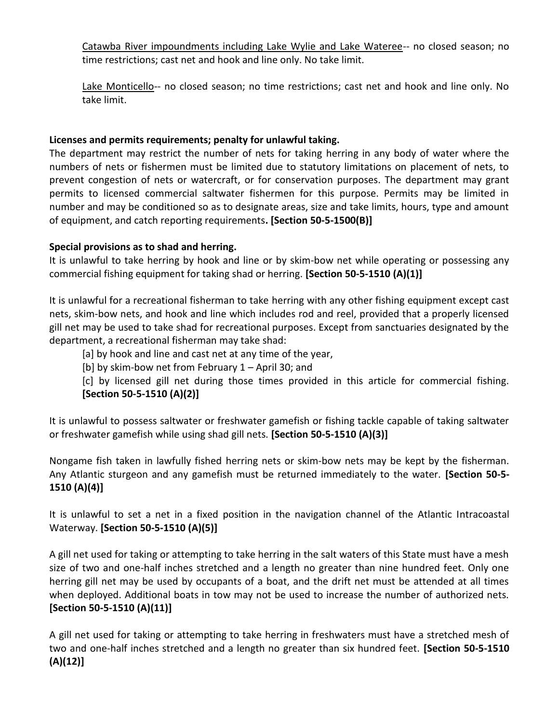Catawba River impoundments including Lake Wylie and Lake Wateree-- no closed season; no time restrictions; cast net and hook and line only. No take limit.

Lake Monticello-- no closed season; no time restrictions; cast net and hook and line only. No take limit.

#### **Licenses and permits requirements; penalty for unlawful taking.**

The department may restrict the number of nets for taking herring in any body of water where the numbers of nets or fishermen must be limited due to statutory limitations on placement of nets, to prevent congestion of nets or watercraft, or for conservation purposes. The department may grant permits to licensed commercial saltwater fishermen for this purpose. Permits may be limited in number and may be conditioned so as to designate areas, size and take limits, hours, type and amount of equipment, and catch reporting requirements**. [Section 50-5-1500(B)]**

### **Special provisions as to shad and herring.**

It is unlawful to take herring by hook and line or by skim-bow net while operating or possessing any commercial fishing equipment for taking shad or herring. **[Section 50-5-1510 (A)(1)]**

It is unlawful for a recreational fisherman to take herring with any other fishing equipment except cast nets, skim-bow nets, and hook and line which includes rod and reel, provided that a properly licensed gill net may be used to take shad for recreational purposes. Except from sanctuaries designated by the department, a recreational fisherman may take shad:

[a] by hook and line and cast net at any time of the year,

[b] by skim-bow net from February 1 – April 30; and

[c] by licensed gill net during those times provided in this article for commercial fishing. **[Section 50-5-1510 (A)(2)]**

It is unlawful to possess saltwater or freshwater gamefish or fishing tackle capable of taking saltwater or freshwater gamefish while using shad gill nets. **[Section 50-5-1510 (A)(3)]**

Nongame fish taken in lawfully fished herring nets or skim-bow nets may be kept by the fisherman. Any Atlantic sturgeon and any gamefish must be returned immediately to the water. **[Section 50-5- 1510 (A)(4)]**

It is unlawful to set a net in a fixed position in the navigation channel of the Atlantic Intracoastal Waterway. **[Section 50-5-1510 (A)(5)]**

A gill net used for taking or attempting to take herring in the salt waters of this State must have a mesh size of two and one-half inches stretched and a length no greater than nine hundred feet. Only one herring gill net may be used by occupants of a boat, and the drift net must be attended at all times when deployed. Additional boats in tow may not be used to increase the number of authorized nets. **[Section 50-5-1510 (A)(11)]**

A gill net used for taking or attempting to take herring in freshwaters must have a stretched mesh of two and one-half inches stretched and a length no greater than six hundred feet. **[Section 50-5-1510 (A)(12)]**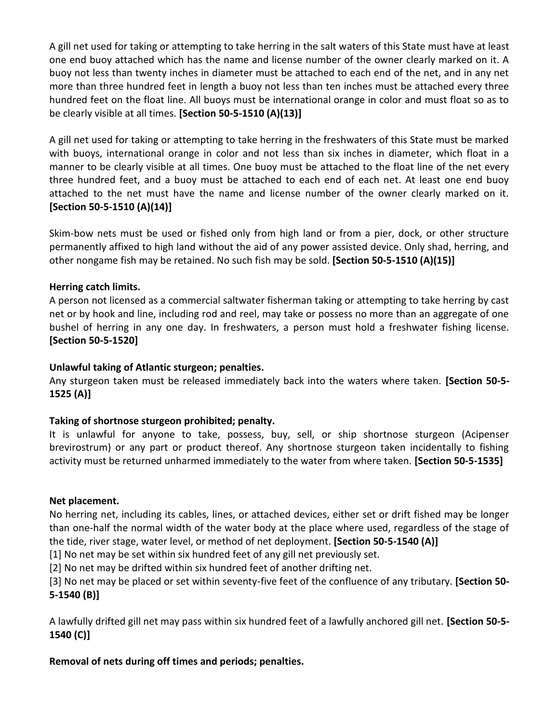A gill net used for taking or attempting to take herring in the salt waters of this State must have at least one end buoy attached which has the name and license number of the owner clearly marked on it. A buoy not less than twenty inches in diameter must be attached to each end of the net, and in any net more than three hundred feet in length a buoy not less than ten inches must be attached every three hundred feet on the float line. All buoys must be international orange in color and must float so as to be clearly visible at all times. **[Section 50-5-1510 (A)(13)]**

A gill net used for taking or attempting to take herring in the freshwaters of this State must be marked with buoys, international orange in color and not less than six inches in diameter, which float in a manner to be clearly visible at all times. One buoy must be attached to the float line of the net every three hundred feet, and a buoy must be attached to each end of each net. At least one end buoy attached to the net must have the name and license number of the owner clearly marked on it. **[Section 50-5-1510 (A)(14)]**

Skim-bow nets must be used or fished only from high land or from a pier, dock, or other structure permanently affixed to high land without the aid of any power assisted device. Only shad, herring, and other nongame fish may be retained. No such fish may be sold. **[Section 50-5-1510 (A)(15)]**

#### **Herring catch limits.**

A person not licensed as a commercial saltwater fisherman taking or attempting to take herring by cast net or by hook and line, including rod and reel, may take or possess no more than an aggregate of one bushel of herring in any one day. In freshwaters, a person must hold a freshwater fishing license. **[Section 50-5-1520]**

#### **Unlawful taking of Atlantic sturgeon; penalties.**

Any sturgeon taken must be released immediately back into the waters where taken. **[Section 50-5- 1525 (A)]**

#### **Taking of shortnose sturgeon prohibited; penalty.**

It is unlawful for anyone to take, possess, buy, sell, or ship shortnose sturgeon (Acipenser brevirostrum) or any part or product thereof. Any shortnose sturgeon taken incidentally to fishing activity must be returned unharmed immediately to the water from where taken. **[Section 50-5-1535]**

#### **Net placement.**

No herring net, including its cables, lines, or attached devices, either set or drift fished may be longer than one-half the normal width of the water body at the place where used, regardless of the stage of the tide, river stage, water level, or method of net deployment. **[Section 50-5-1540 (A)]**

[1] No net may be set within six hundred feet of any gill net previously set.

[2] No net may be drifted within six hundred feet of another drifting net.

[3] No net may be placed or set within seventy-five feet of the confluence of any tributary. **[Section 50- 5-1540 (B)]**

A lawfully drifted gill net may pass within six hundred feet of a lawfully anchored gill net. **[Section 50-5- 1540 (C)]**

#### **Removal of nets during off times and periods; penalties.**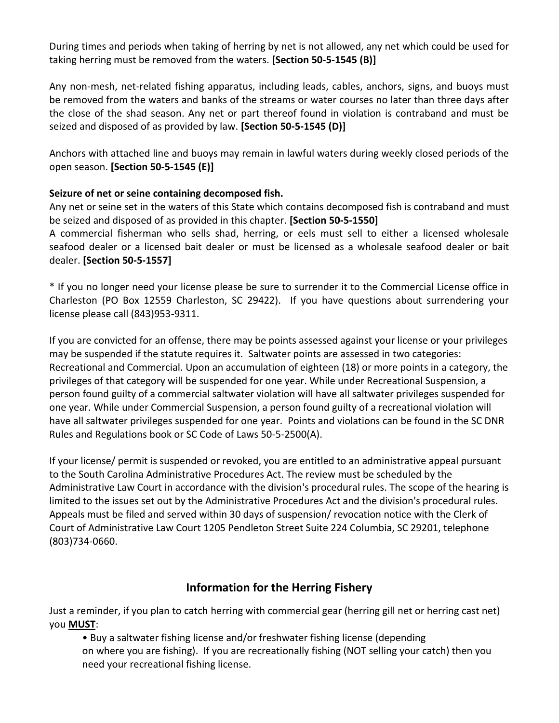During times and periods when taking of herring by net is not allowed, any net which could be used for taking herring must be removed from the waters. **[Section 50-5-1545 (B)]**

Any non-mesh, net-related fishing apparatus, including leads, cables, anchors, signs, and buoys must be removed from the waters and banks of the streams or water courses no later than three days after the close of the shad season. Any net or part thereof found in violation is contraband and must be seized and disposed of as provided by law. **[Section 50-5-1545 (D)]**

Anchors with attached line and buoys may remain in lawful waters during weekly closed periods of the open season. **[Section 50-5-1545 (E)]**

### **Seizure of net or seine containing decomposed fish.**

Any net or seine set in the waters of this State which contains decomposed fish is contraband and must be seized and disposed of as provided in this chapter. **[Section 50-5-1550]**

A commercial fisherman who sells shad, herring, or eels must sell to either a licensed wholesale seafood dealer or a licensed bait dealer or must be licensed as a wholesale seafood dealer or bait dealer. **[Section 50-5-1557]**

\* If you no longer need your license please be sure to surrender it to the Commercial License office in Charleston (PO Box 12559 Charleston, SC 29422). If you have questions about surrendering your license please call (843)953-9311.

If you are convicted for an offense, there may be points assessed against your license or your privileges may be suspended if the statute requires it. Saltwater points are assessed in two categories: Recreational and Commercial. Upon an accumulation of eighteen (18) or more points in a category, the privileges of that category will be suspended for one year. While under Recreational Suspension, a person found guilty of a commercial saltwater violation will have all saltwater privileges suspended for one year. While under Commercial Suspension, a person found guilty of a recreational violation will have all saltwater privileges suspended for one year. Points and violations can be found in the SC DNR Rules and Regulations book or SC Code of Laws 50-5-2500(A).

If your license/ permit is suspended or revoked, you are entitled to an administrative appeal pursuant to the South Carolina Administrative Procedures Act. The review must be scheduled by the Administrative Law Court in accordance with the division's procedural rules. The scope of the hearing is limited to the issues set out by the Administrative Procedures Act and the division's procedural rules. Appeals must be filed and served within 30 days of suspension/ revocation notice with the Clerk of Court of Administrative Law Court 1205 Pendleton Street Suite 224 Columbia, SC 29201, telephone (803)734-0660.

## **Information for the Herring Fishery**

Just a reminder, if you plan to catch herring with commercial gear (herring gill net or herring cast net) you **MUST**:

• Buy a saltwater fishing license and/or freshwater fishing license (depending on where you are fishing). If you are recreationally fishing (NOT selling your catch) then you need your recreational fishing license.